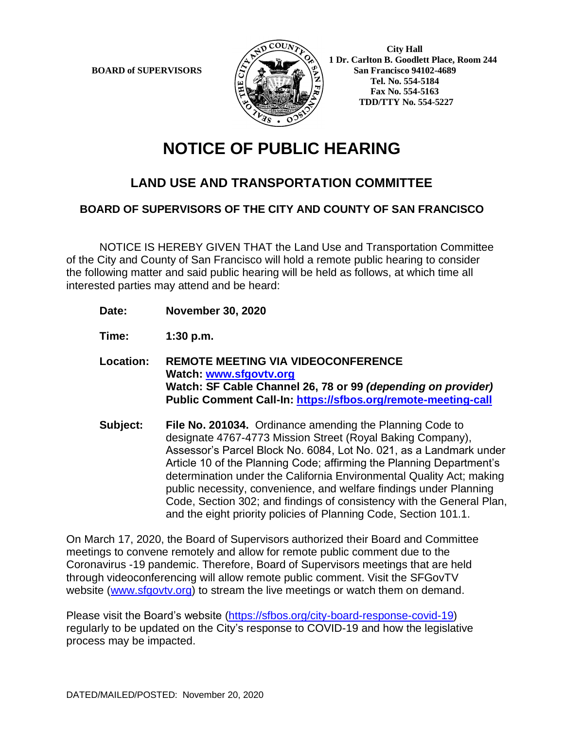

 **1 Dr. Carlton B. Goodlett Place, Room 244 BOARD of SUPERVISORS**  $\left(\frac{S}{I}\right)$   $\oplus$   $\left(\frac{S}{I}\right)$  San Francisco 94102-4689  **Tel. No. 554-5184 Fax No. 554-5163 TDD/TTY No. 554-5227**

## **NOTICE OF PUBLIC HEARING**

## **LAND USE AND TRANSPORTATION COMMITTEE**

## **BOARD OF SUPERVISORS OF THE CITY AND COUNTY OF SAN FRANCISCO**

NOTICE IS HEREBY GIVEN THAT the Land Use and Transportation Committee of the City and County of San Francisco will hold a remote public hearing to consider the following matter and said public hearing will be held as follows, at which time all interested parties may attend and be heard:

- **Date: November 30, 2020**
- **Time: 1:30 p.m.**
- **Location: REMOTE MEETING VIA VIDEOCONFERENCE Watch: www.sfgovtv.org Watch: SF Cable Channel 26, 78 or 99** *(depending on provider)* **Public Comment Call-In: https://sfbos.org/remote-meeting-call**
- **Subject: File No. 201034.** Ordinance amending the Planning Code to designate 4767-4773 Mission Street (Royal Baking Company), Assessor's Parcel Block No. 6084, Lot No. 021, as a Landmark under Article 10 of the Planning Code; affirming the Planning Department's determination under the California Environmental Quality Act; making public necessity, convenience, and welfare findings under Planning Code, Section 302; and findings of consistency with the General Plan, and the eight priority policies of Planning Code, Section 101.1.

On March 17, 2020, the Board of Supervisors authorized their Board and Committee meetings to convene remotely and allow for remote public comment due to the Coronavirus -19 pandemic. Therefore, Board of Supervisors meetings that are held through videoconferencing will allow remote public comment. Visit the SFGovTV website (www.sfgovtv.org) to stream the live meetings or watch them on demand.

Please visit the Board's website (https://sfbos.org/city-board-response-covid-19) regularly to be updated on the City's response to COVID-19 and how the legislative process may be impacted.